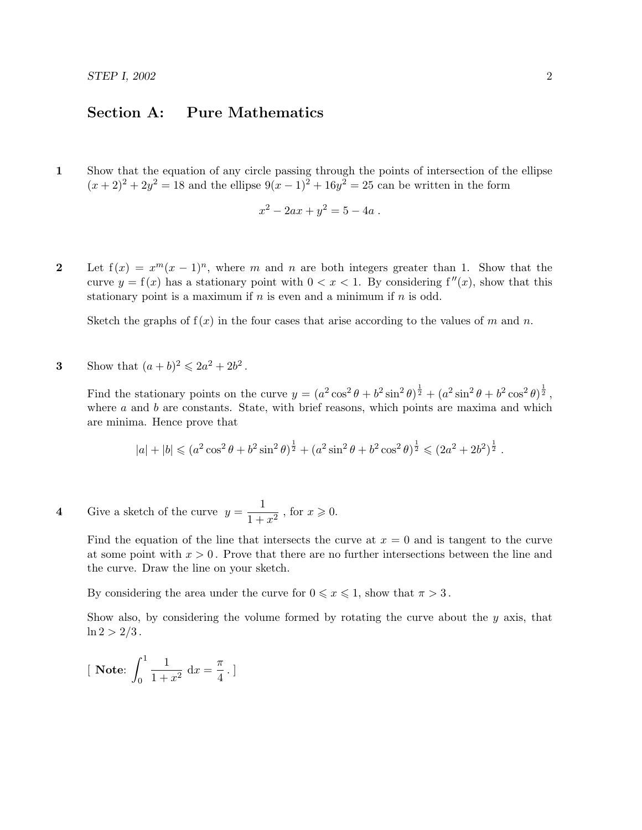## Section A: Pure Mathematics

1 Show that the equation of any circle passing through the points of intersection of the ellipse  $(x+2)^2 + 2y^2 = 18$  and the ellipse  $9(x-1)^2 + 16y^2 = 25$  can be written in the form

$$
x^2 - 2ax + y^2 = 5 - 4a.
$$

2 Let  $f(x) = x^m(x-1)^n$ , where m and n are both integers greater than 1. Show that the curve  $y = f(x)$  has a stationary point with  $0 < x < 1$ . By considering  $f''(x)$ , show that this stationary point is a maximum if  $n$  is even and a minimum if  $n$  is odd.

Sketch the graphs of  $f(x)$  in the four cases that arise according to the values of m and n.

**3** Show that  $(a+b)^2 \leq 2a^2 + 2b^2$ .

Find the stationary points on the curve  $y = (a^2 \cos^2 \theta + b^2 \sin^2 \theta)^{\frac{1}{2}} + (a^2 \sin^2 \theta + b^2 \cos^2 \theta)^{\frac{1}{2}}$ , where  $a$  and  $b$  are constants. State, with brief reasons, which points are maxima and which are minima. Hence prove that

$$
|a| + |b| \leq (a^2 \cos^2 \theta + b^2 \sin^2 \theta)^{\frac{1}{2}} + (a^2 \sin^2 \theta + b^2 \cos^2 \theta)^{\frac{1}{2}} \leq (2a^2 + 2b^2)^{\frac{1}{2}}.
$$

4 Give a sketch of the curve  $y = \frac{1}{1+y^2}$  $\frac{1}{1+x^2}$ , for  $x \ge 0$ .

> Find the equation of the line that intersects the curve at  $x = 0$  and is tangent to the curve at some point with  $x > 0$ . Prove that there are no further intersections between the line and the curve. Draw the line on your sketch.

By considering the area under the curve for  $0 \leq x \leq 1$ , show that  $\pi > 3$ .

Show also, by considering the volume formed by rotating the curve about the  $y$  axis, that  $\ln 2 > 2/3$ .

[**Note:** 
$$
\int_0^1 \frac{1}{1+x^2} dx = \frac{\pi}{4}.
$$
]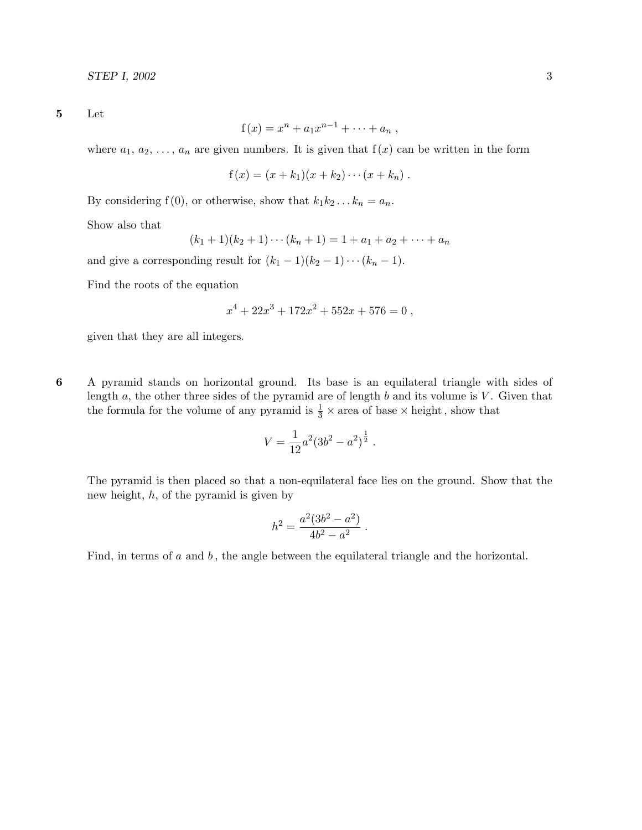5 Let

$$
f(x) = xn + a1xn-1 + \cdots + an
$$
,

where  $a_1, a_2, \ldots, a_n$  are given numbers. It is given that  $f(x)$  can be written in the form

$$
f(x) = (x + k_1)(x + k_2) \cdots (x + k_n).
$$

By considering f(0), or otherwise, show that  $k_1k_2...k_n = a_n$ .

Show also that

$$
(k_1+1)(k_2+1)\cdots(k_n+1) = 1 + a_1 + a_2 + \cdots + a_n
$$

and give a corresponding result for  $(k_1 - 1)(k_2 - 1) \cdots (k_n - 1)$ .

Find the roots of the equation

$$
x^4 + 22x^3 + 172x^2 + 552x + 576 = 0
$$
,

given that they are all integers.

6 A pyramid stands on horizontal ground. Its base is an equilateral triangle with sides of length  $a$ , the other three sides of the pyramid are of length  $b$  and its volume is  $V$ . Given that the formula for the volume of any pyramid is  $\frac{1}{3} \times$  area of base  $\times$  height, show that

$$
V = \frac{1}{12}a^2(3b^2 - a^2)^{\frac{1}{2}}.
$$

The pyramid is then placed so that a non-equilateral face lies on the ground. Show that the new height,  $h$ , of the pyramid is given by

$$
h^2 = \frac{a^2(3b^2 - a^2)}{4b^2 - a^2}.
$$

Find, in terms of  $a$  and  $b$ , the angle between the equilateral triangle and the horizontal.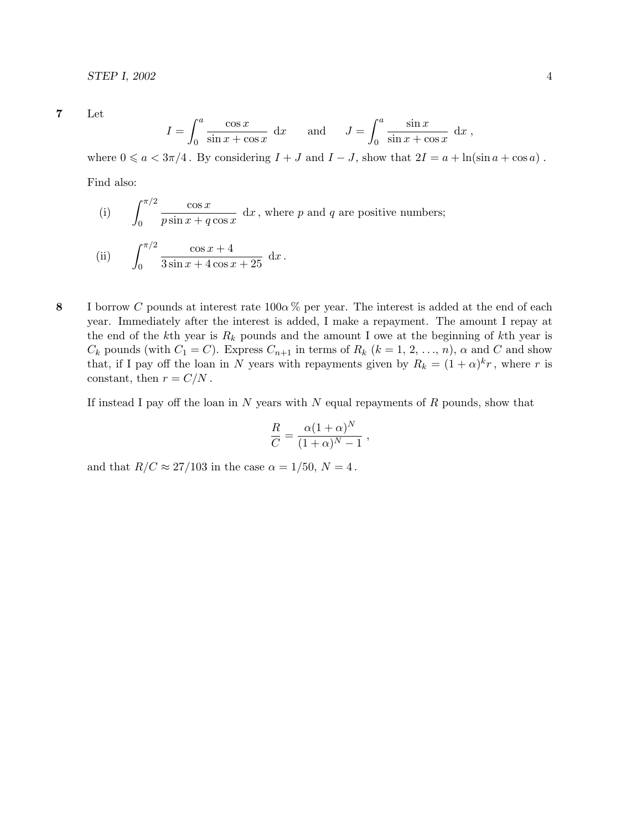7 Let

$$
I = \int_0^a \frac{\cos x}{\sin x + \cos x} dx \quad \text{and} \quad J = \int_0^a \frac{\sin x}{\sin x + \cos x} dx,
$$

where  $0 \le a < 3\pi/4$ . By considering  $I + J$  and  $I - J$ , show that  $2I = a + \ln(\sin a + \cos a)$ .

Find also:

(i) 
$$
\int_0^{\pi/2} \frac{\cos x}{p \sin x + q \cos x} dx
$$
, where *p* and *q* are positive numbers;  
(ii) 
$$
\int_0^{\pi/2} \frac{\cos x + 4}{3 \sin x + 4 \cos x + 25} dx
$$
.

8 I borrow C pounds at interest rate  $100\alpha$ % per year. The interest is added at the end of each year. Immediately after the interest is added, I make a repayment. The amount I repay at the end of the kth year is  $R_k$  pounds and the amount I owe at the beginning of kth year is  $C_k$  pounds (with  $C_1 = C$ ). Express  $C_{n+1}$  in terms of  $R_k$   $(k = 1, 2, ..., n)$ ,  $\alpha$  and  $C$  and show that, if I pay off the loan in N years with repayments given by  $R_k = (1 + \alpha)^k r$ , where r is constant, then  $r = C/N$ .

If instead I pay off the loan in  $N$  years with  $N$  equal repayments of  $R$  pounds, show that

$$
\frac{R}{C} = \frac{\alpha (1+\alpha)^N}{(1+\alpha)^N - 1} ,
$$

and that  $R/C \approx 27/103$  in the case  $\alpha = 1/50$ ,  $N = 4$ .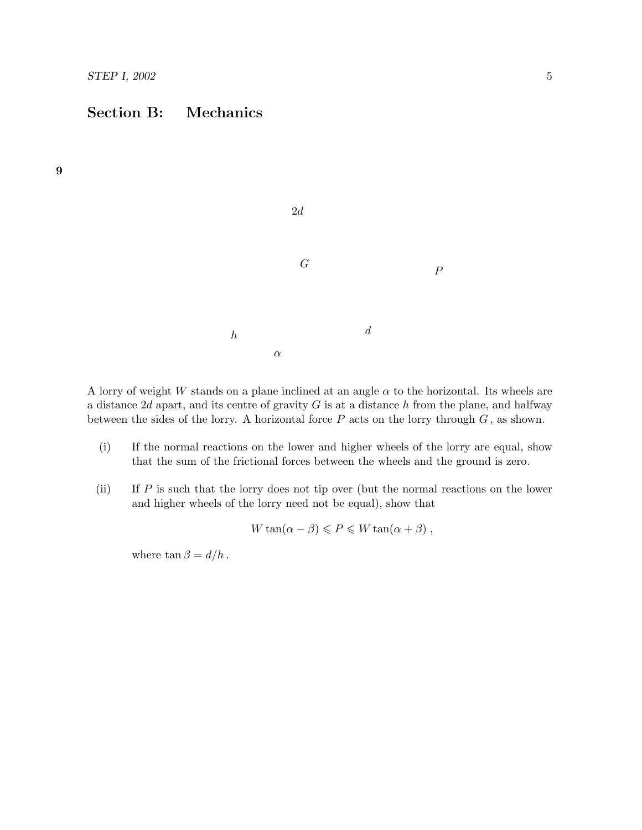# Section B: Mechanics



A lorry of weight W stands on a plane inclined at an angle  $\alpha$  to the horizontal. Its wheels are a distance 2d apart, and its centre of gravity  $G$  is at a distance h from the plane, and halfway between the sides of the lorry. A horizontal force  $P$  acts on the lorry through  $G$ , as shown.

- (i) If the normal reactions on the lower and higher wheels of the lorry are equal, show that the sum of the frictional forces between the wheels and the ground is zero.
- (ii) If P is such that the lorry does not tip over (but the normal reactions on the lower and higher wheels of the lorry need not be equal), show that

$$
W \tan(\alpha - \beta) \leqslant P \leqslant W \tan(\alpha + \beta) ,
$$

where  $\tan \beta = d/h$ .

## 9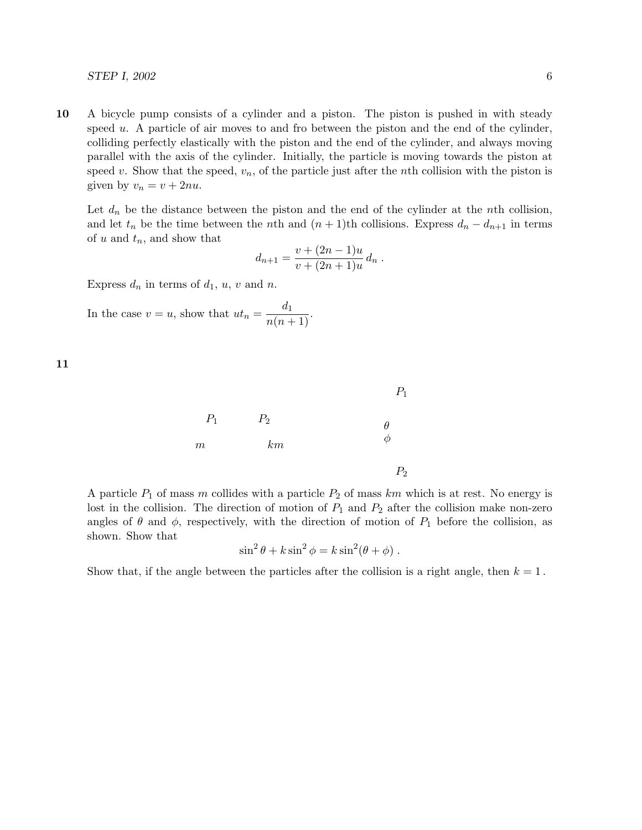#### $STEP$  I, 2002 6

10 A bicycle pump consists of a cylinder and a piston. The piston is pushed in with steady speed  $u$ . A particle of air moves to and fro between the piston and the end of the cylinder, colliding perfectly elastically with the piston and the end of the cylinder, and always moving parallel with the axis of the cylinder. Initially, the particle is moving towards the piston at speed v. Show that the speed,  $v_n$ , of the particle just after the nth collision with the piston is given by  $v_n = v + 2nu$ .

Let  $d_n$  be the distance between the piston and the end of the cylinder at the nth collision, and let  $t_n$  be the time between the nth and  $(n + 1)$ th collisions. Express  $d_n - d_{n+1}$  in terms of u and  $t_n$ , and show that

$$
d_{n+1} = \frac{v + (2n - 1)u}{v + (2n + 1)u} d_n.
$$

Express  $d_n$  in terms of  $d_1$ ,  $u$ ,  $v$  and  $n$ .

In the case  $v = u$ , show that  $ut_n = \frac{d_1}{n(n+1)}$ .

11



A particle  $P_1$  of mass m collides with a particle  $P_2$  of mass km which is at rest. No energy is lost in the collision. The direction of motion of  $P_1$  and  $P_2$  after the collision make non-zero angles of  $\theta$  and  $\phi$ , respectively, with the direction of motion of  $P_1$  before the collision, as shown. Show that

$$
\sin^2 \theta + k \sin^2 \phi = k \sin^2 (\theta + \phi).
$$

Show that, if the angle between the particles after the collision is a right angle, then  $k = 1$ .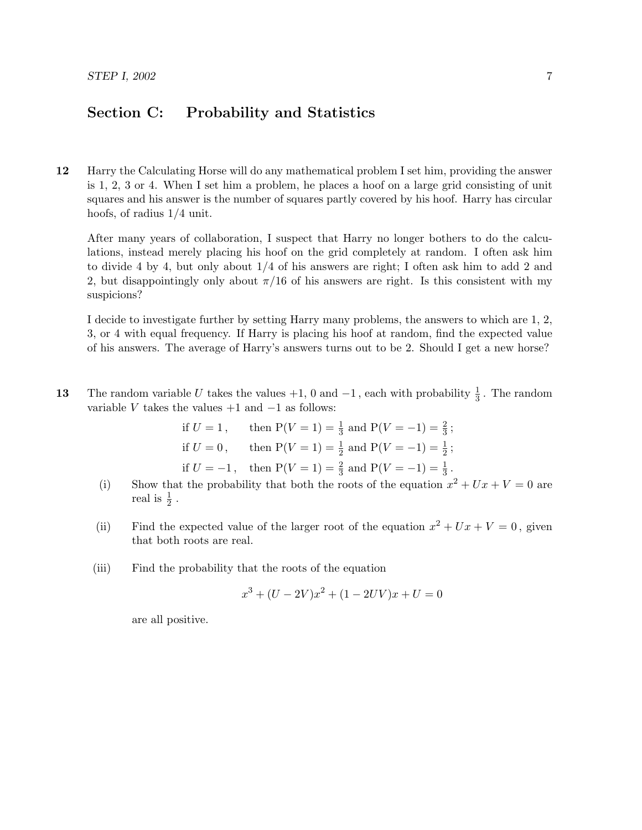# Section C: Probability and Statistics

12 Harry the Calculating Horse will do any mathematical problem I set him, providing the answer is 1, 2, 3 or 4. When I set him a problem, he places a hoof on a large grid consisting of unit squares and his answer is the number of squares partly covered by his hoof. Harry has circular hoofs, of radius 1/4 unit.

After many years of collaboration, I suspect that Harry no longer bothers to do the calculations, instead merely placing his hoof on the grid completely at random. I often ask him to divide 4 by 4, but only about 1/4 of his answers are right; I often ask him to add 2 and 2, but disappointingly only about  $\pi/16$  of his answers are right. Is this consistent with my suspicions?

I decide to investigate further by setting Harry many problems, the answers to which are 1, 2, 3, or 4 with equal frequency. If Harry is placing his hoof at random, find the expected value of his answers. The average of Harry's answers turns out to be 2. Should I get a new horse?

13 The random variable U takes the values  $+1$ , 0 and  $-1$ , each with probability  $\frac{1}{3}$ . The random variable V takes the values  $+1$  and  $-1$  as follows:

if 
$$
U = 1
$$
, then  $P(V = 1) = \frac{1}{3}$  and  $P(V = -1) = \frac{2}{3}$ ;  
if  $U = 0$ , then  $P(V = 1) = \frac{1}{2}$  and  $P(V = -1) = \frac{1}{2}$ ;  
if  $U = -1$ , then  $P(V = 1) = \frac{2}{3}$  and  $P(V = -1) = \frac{1}{3}$ .

- (i) Show that the probability that both the roots of the equation  $x^2 + Ux + V = 0$  are real is  $\frac{1}{2}$ .
- (ii) Find the expected value of the larger root of the equation  $x^2 + Ux + V = 0$ , given that both roots are real.
- (iii) Find the probability that the roots of the equation

$$
x^{3} + (U - 2V)x^{2} + (1 - 2UV)x + U = 0
$$

are all positive.